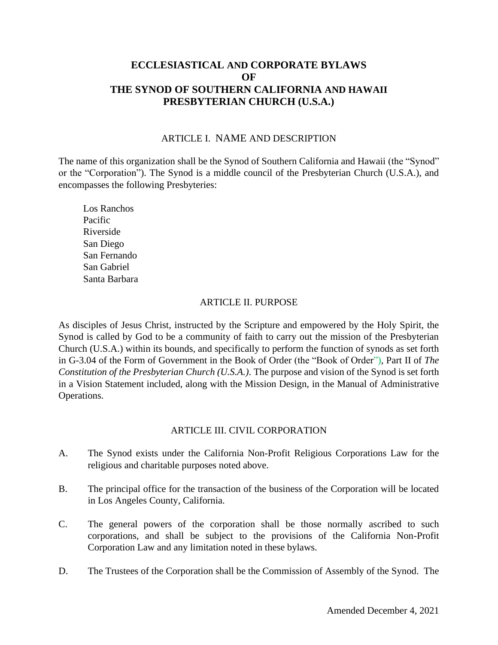# **ECCLESIASTICAL AND CORPORATE BYLAWS OF THE SYNOD OF SOUTHERN CALIFORNIA AND HAWAII PRESBYTERIAN CHURCH (U.S.A.)**

#### ARTICLE I. NAME AND DESCRIPTION

The name of this organization shall be the Synod of Southern California and Hawaii (the "Synod" or the "Corporation"). The Synod is a middle council of the Presbyterian Church (U.S.A.), and encompasses the following Presbyteries:

Los Ranchos Pacific Riverside San Diego San Fernando San Gabriel Santa Barbara

### ARTICLE II. PURPOSE

As disciples of Jesus Christ, instructed by the Scripture and empowered by the Holy Spirit, the Synod is called by God to be a community of faith to carry out the mission of the Presbyterian Church (U.S.A.) within its bounds, and specifically to perform the function of synods as set forth in G-3.04 of the Form of Government in the Book of Order (the "Book of Order"), Part II of *The Constitution of the Presbyterian Church (U.S.A.)*. The purpose and vision of the Synod is set forth in a Vision Statement included, along with the Mission Design, in the Manual of Administrative Operations.

### ARTICLE III. CIVIL CORPORATION

- A. The Synod exists under the California Non-Profit Religious Corporations Law for the religious and charitable purposes noted above.
- B. The principal office for the transaction of the business of the Corporation will be located in Los Angeles County, California.
- C. The general powers of the corporation shall be those normally ascribed to such corporations, and shall be subject to the provisions of the California Non-Profit Corporation Law and any limitation noted in these bylaws.
- D. The Trustees of the Corporation shall be the Commission of Assembly of the Synod. The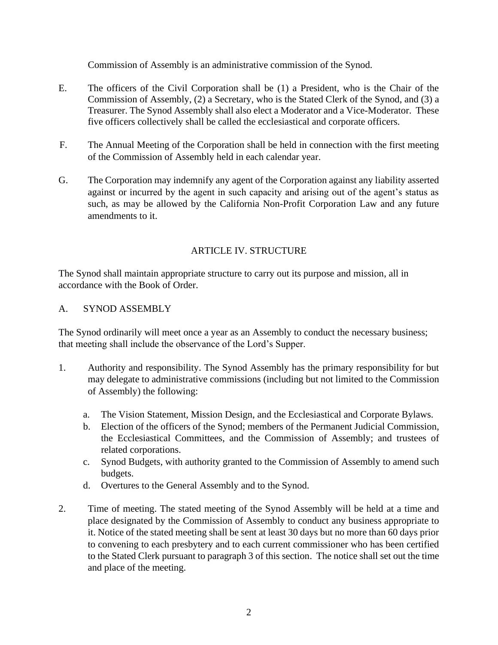Commission of Assembly is an administrative commission of the Synod.

- E. The officers of the Civil Corporation shall be (1) a President, who is the Chair of the Commission of Assembly, (2) a Secretary, who is the Stated Clerk of the Synod, and (3) a Treasurer. The Synod Assembly shall also elect a Moderator and a Vice-Moderator. These five officers collectively shall be called the ecclesiastical and corporate officers.
- F. The Annual Meeting of the Corporation shall be held in connection with the first meeting of the Commission of Assembly held in each calendar year.
- G. The Corporation may indemnify any agent of the Corporation against any liability asserted against or incurred by the agent in such capacity and arising out of the agent's status as such, as may be allowed by the California Non-Profit Corporation Law and any future amendments to it.

## ARTICLE IV. STRUCTURE

The Synod shall maintain appropriate structure to carry out its purpose and mission, all in accordance with the Book of Order.

### A. SYNOD ASSEMBLY

The Synod ordinarily will meet once a year as an Assembly to conduct the necessary business; that meeting shall include the observance of the Lord's Supper.

- 1. Authority and responsibility. The Synod Assembly has the primary responsibility for but may delegate to administrative commissions (including but not limited to the Commission of Assembly) the following:
	- a. The Vision Statement, Mission Design, and the Ecclesiastical and Corporate Bylaws.
	- b. Election of the officers of the Synod; members of the Permanent Judicial Commission, the Ecclesiastical Committees, and the Commission of Assembly; and trustees of related corporations.
	- c. Synod Budgets, with authority granted to the Commission of Assembly to amend such budgets.
	- d. Overtures to the General Assembly and to the Synod.
- 2. Time of meeting. The stated meeting of the Synod Assembly will be held at a time and place designated by the Commission of Assembly to conduct any business appropriate to it. Notice of the stated meeting shall be sent at least 30 days but no more than 60 days prior to convening to each presbytery and to each current commissioner who has been certified to the Stated Clerk pursuant to paragraph 3 of this section. The notice shall set out the time and place of the meeting.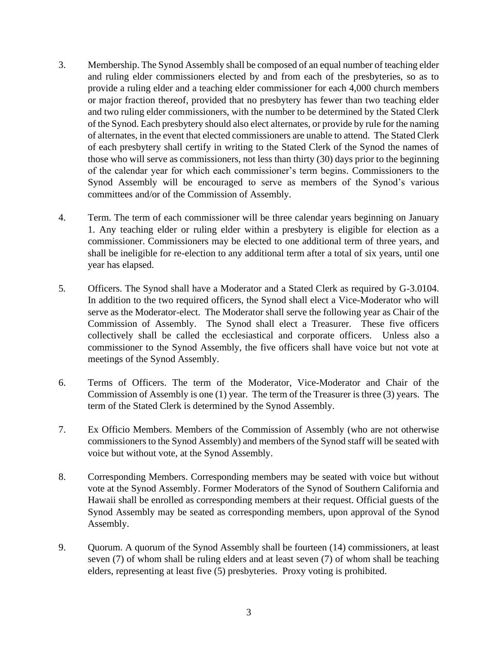- 3. Membership. The Synod Assembly shall be composed of an equal number of teaching elder and ruling elder commissioners elected by and from each of the presbyteries, so as to provide a ruling elder and a teaching elder commissioner for each 4,000 church members or major fraction thereof, provided that no presbytery has fewer than two teaching elder and two ruling elder commissioners, with the number to be determined by the Stated Clerk of the Synod. Each presbytery should also elect alternates, or provide by rule for the naming of alternates, in the event that elected commissioners are unable to attend. The Stated Clerk of each presbytery shall certify in writing to the Stated Clerk of the Synod the names of those who will serve as commissioners, not less than thirty (30) days prior to the beginning of the calendar year for which each commissioner's term begins. Commissioners to the Synod Assembly will be encouraged to serve as members of the Synod's various committees and/or of the Commission of Assembly.
- 4. Term. The term of each commissioner will be three calendar years beginning on January 1. Any teaching elder or ruling elder within a presbytery is eligible for election as a commissioner. Commissioners may be elected to one additional term of three years, and shall be ineligible for re-election to any additional term after a total of six years, until one year has elapsed.
- 5*.* Officers. The Synod shall have a Moderator and a Stated Clerk as required by G-3.0104. In addition to the two required officers, the Synod shall elect a Vice-Moderator who will serve as the Moderator-elect. The Moderator shall serve the following year as Chair of the Commission of Assembly. The Synod shall elect a Treasurer. These five officers collectively shall be called the ecclesiastical and corporate officers. Unless also a commissioner to the Synod Assembly, the five officers shall have voice but not vote at meetings of the Synod Assembly.
- 6. Terms of Officers. The term of the Moderator, Vice-Moderator and Chair of the Commission of Assembly is one (1) year. The term of the Treasurer is three (3) years. The term of the Stated Clerk is determined by the Synod Assembly.
- 7. Ex Officio Members. Members of the Commission of Assembly (who are not otherwise commissioners to the Synod Assembly) and members of the Synod staff will be seated with voice but without vote, at the Synod Assembly.
- 8. Corresponding Members. Corresponding members may be seated with voice but without vote at the Synod Assembly. Former Moderators of the Synod of Southern California and Hawaii shall be enrolled as corresponding members at their request. Official guests of the Synod Assembly may be seated as corresponding members, upon approval of the Synod Assembly.
- 9. Quorum. A quorum of the Synod Assembly shall be fourteen (14) commissioners, at least seven (7) of whom shall be ruling elders and at least seven (7) of whom shall be teaching elders, representing at least five (5) presbyteries. Proxy voting is prohibited.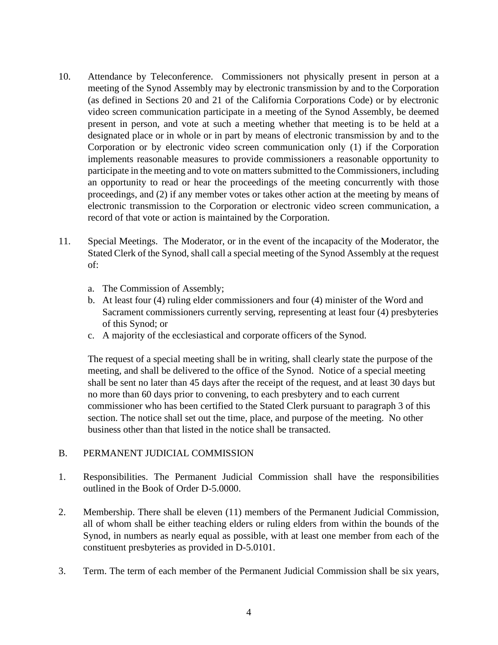- 10. Attendance by Teleconference. Commissioners not physically present in person at a meeting of the Synod Assembly may by electronic transmission by and to the Corporation (as defined in Sections 20 and 21 of the California Corporations Code) or by electronic video screen communication participate in a meeting of the Synod Assembly, be deemed present in person, and vote at such a meeting whether that meeting is to be held at a designated place or in whole or in part by means of electronic transmission by and to the Corporation or by electronic video screen communication only (1) if the Corporation implements reasonable measures to provide commissioners a reasonable opportunity to participate in the meeting and to vote on matters submitted to the Commissioners, including an opportunity to read or hear the proceedings of the meeting concurrently with those proceedings, and (2) if any member votes or takes other action at the meeting by means of electronic transmission to the Corporation or electronic video screen communication, a record of that vote or action is maintained by the Corporation.
- 11. Special Meetings. The Moderator, or in the event of the incapacity of the Moderator, the Stated Clerk of the Synod, shall call a special meeting of the Synod Assembly at the request of:
	- a. The Commission of Assembly;
	- b. At least four (4) ruling elder commissioners and four (4) minister of the Word and Sacrament commissioners currently serving, representing at least four (4) presbyteries of this Synod; or
	- c. A majority of the ecclesiastical and corporate officers of the Synod.

The request of a special meeting shall be in writing, shall clearly state the purpose of the meeting, and shall be delivered to the office of the Synod. Notice of a special meeting shall be sent no later than 45 days after the receipt of the request, and at least 30 days but no more than 60 days prior to convening, to each presbytery and to each current commissioner who has been certified to the Stated Clerk pursuant to paragraph 3 of this section. The notice shall set out the time, place, and purpose of the meeting. No other business other than that listed in the notice shall be transacted.

### B. PERMANENT JUDICIAL COMMISSION

- 1. Responsibilities. The Permanent Judicial Commission shall have the responsibilities outlined in the Book of Order D-5.0000.
- 2. Membership. There shall be eleven (11) members of the Permanent Judicial Commission, all of whom shall be either teaching elders or ruling elders from within the bounds of the Synod, in numbers as nearly equal as possible, with at least one member from each of the constituent presbyteries as provided in D-5.0101.
- 3. Term. The term of each member of the Permanent Judicial Commission shall be six years,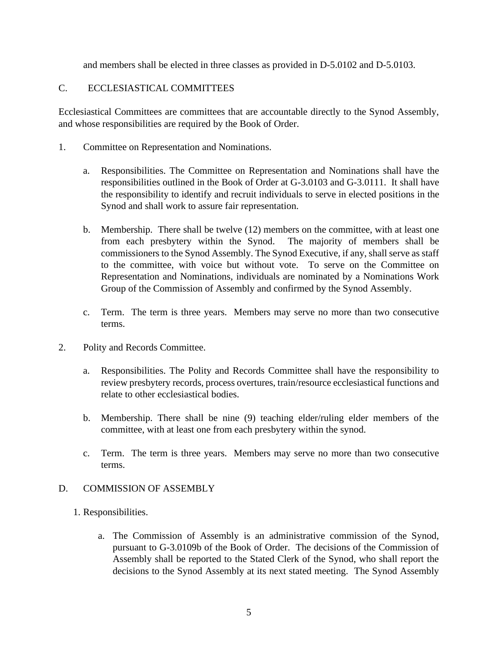and members shall be elected in three classes as provided in D-5.0102 and D-5.0103.

## C. ECCLESIASTICAL COMMITTEES

Ecclesiastical Committees are committees that are accountable directly to the Synod Assembly, and whose responsibilities are required by the Book of Order.

- 1. Committee on Representation and Nominations.
	- a. Responsibilities. The Committee on Representation and Nominations shall have the responsibilities outlined in the Book of Order at G-3.0103 and G-3.0111. It shall have the responsibility to identify and recruit individuals to serve in elected positions in the Synod and shall work to assure fair representation.
	- b. Membership. There shall be twelve (12) members on the committee, with at least one from each presbytery within the Synod. The majority of members shall be commissioners to the Synod Assembly. The Synod Executive, if any, shall serve as staff to the committee, with voice but without vote. To serve on the Committee on Representation and Nominations, individuals are nominated by a Nominations Work Group of the Commission of Assembly and confirmed by the Synod Assembly.
	- c. Term. The term is three years. Members may serve no more than two consecutive terms.
- 2. Polity and Records Committee.
	- a. Responsibilities. The Polity and Records Committee shall have the responsibility to review presbytery records, process overtures, train/resource ecclesiastical functions and relate to other ecclesiastical bodies.
	- b. Membership. There shall be nine (9) teaching elder/ruling elder members of the committee, with at least one from each presbytery within the synod.
	- c. Term. The term is three years. Members may serve no more than two consecutive terms.

### D. COMMISSION OF ASSEMBLY

- 1. Responsibilities.
	- a. The Commission of Assembly is an administrative commission of the Synod, pursuant to G-3.0109b of the Book of Order. The decisions of the Commission of Assembly shall be reported to the Stated Clerk of the Synod, who shall report the decisions to the Synod Assembly at its next stated meeting. The Synod Assembly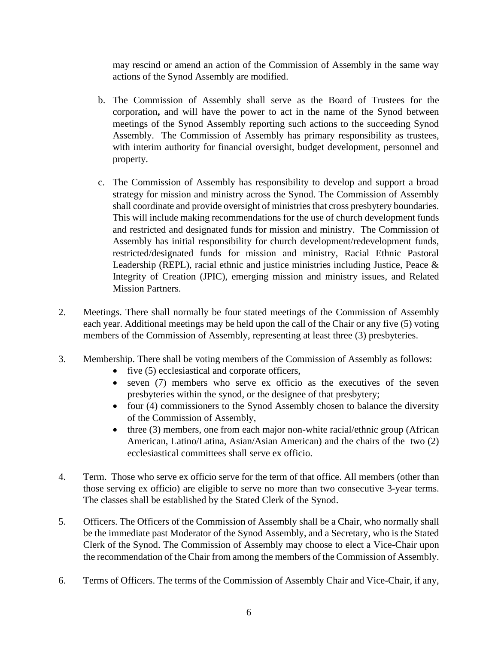may rescind or amend an action of the Commission of Assembly in the same way actions of the Synod Assembly are modified.

- b. The Commission of Assembly shall serve as the Board of Trustees for the corporation**,** and will have the power to act in the name of the Synod between meetings of the Synod Assembly reporting such actions to the succeeding Synod Assembly. The Commission of Assembly has primary responsibility as trustees, with interim authority for financial oversight, budget development, personnel and property.
- c. The Commission of Assembly has responsibility to develop and support a broad strategy for mission and ministry across the Synod. The Commission of Assembly shall coordinate and provide oversight of ministries that cross presbytery boundaries. This will include making recommendations for the use of church development funds and restricted and designated funds for mission and ministry. The Commission of Assembly has initial responsibility for church development/redevelopment funds, restricted/designated funds for mission and ministry, Racial Ethnic Pastoral Leadership (REPL), racial ethnic and justice ministries including Justice, Peace & Integrity of Creation (JPIC), emerging mission and ministry issues, and Related Mission Partners.
- 2. Meetings. There shall normally be four stated meetings of the Commission of Assembly each year. Additional meetings may be held upon the call of the Chair or any five (5) voting members of the Commission of Assembly, representing at least three (3) presbyteries.
- 3. Membership. There shall be voting members of the Commission of Assembly as follows:
	- five (5) ecclesiastical and corporate officers,
	- seven (7) members who serve ex officio as the executives of the seven presbyteries within the synod, or the designee of that presbytery;
	- four (4) commissioners to the Synod Assembly chosen to balance the diversity of the Commission of Assembly,
	- three (3) members, one from each major non-white racial/ethnic group (African American, Latino/Latina, Asian/Asian American) and the chairs of the two (2) ecclesiastical committees shall serve ex officio.
- 4. Term. Those who serve ex officio serve for the term of that office. All members (other than those serving ex officio) are eligible to serve no more than two consecutive 3-year terms. The classes shall be established by the Stated Clerk of the Synod.
- 5. Officers. The Officers of the Commission of Assembly shall be a Chair, who normally shall be the immediate past Moderator of the Synod Assembly, and a Secretary, who is the Stated Clerk of the Synod. The Commission of Assembly may choose to elect a Vice-Chair upon the recommendation of the Chair from among the members of the Commission of Assembly.
- 6. Terms of Officers. The terms of the Commission of Assembly Chair and Vice-Chair, if any,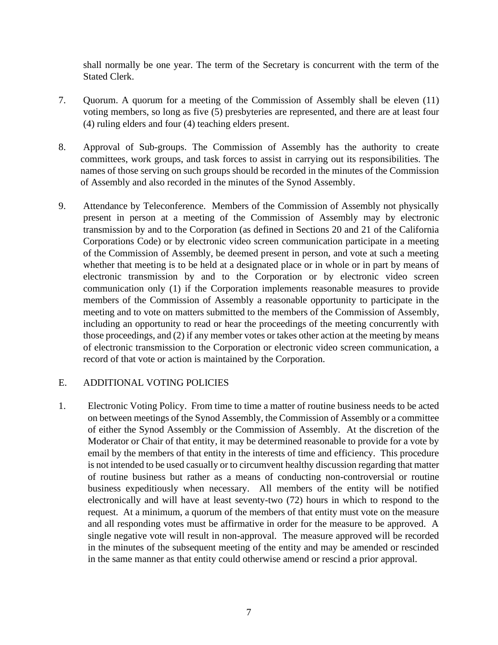shall normally be one year. The term of the Secretary is concurrent with the term of the Stated Clerk.

- 7. Quorum. A quorum for a meeting of the Commission of Assembly shall be eleven (11) voting members, so long as five (5) presbyteries are represented, and there are at least four (4) ruling elders and four (4) teaching elders present.
- 8. Approval of Sub-groups. The Commission of Assembly has the authority to create committees, work groups, and task forces to assist in carrying out its responsibilities. The names of those serving on such groups should be recorded in the minutes of the Commission of Assembly and also recorded in the minutes of the Synod Assembly.
- 9. Attendance by Teleconference. Members of the Commission of Assembly not physically present in person at a meeting of the Commission of Assembly may by electronic transmission by and to the Corporation (as defined in Sections 20 and 21 of the California Corporations Code) or by electronic video screen communication participate in a meeting of the Commission of Assembly, be deemed present in person, and vote at such a meeting whether that meeting is to be held at a designated place or in whole or in part by means of electronic transmission by and to the Corporation or by electronic video screen communication only (1) if the Corporation implements reasonable measures to provide members of the Commission of Assembly a reasonable opportunity to participate in the meeting and to vote on matters submitted to the members of the Commission of Assembly, including an opportunity to read or hear the proceedings of the meeting concurrently with those proceedings, and (2) if any member votes or takes other action at the meeting by means of electronic transmission to the Corporation or electronic video screen communication, a record of that vote or action is maintained by the Corporation.

### E. ADDITIONAL VOTING POLICIES

1. Electronic Voting Policy. From time to time a matter of routine business needs to be acted on between meetings of the Synod Assembly, the Commission of Assembly or a committee of either the Synod Assembly or the Commission of Assembly. At the discretion of the Moderator or Chair of that entity, it may be determined reasonable to provide for a vote by email by the members of that entity in the interests of time and efficiency. This procedure is not intended to be used casually or to circumvent healthy discussion regarding that matter of routine business but rather as a means of conducting non-controversial or routine business expeditiously when necessary. All members of the entity will be notified electronically and will have at least seventy-two (72) hours in which to respond to the request. At a minimum, a quorum of the members of that entity must vote on the measure and all responding votes must be affirmative in order for the measure to be approved. A single negative vote will result in non-approval. The measure approved will be recorded in the minutes of the subsequent meeting of the entity and may be amended or rescinded in the same manner as that entity could otherwise amend or rescind a prior approval.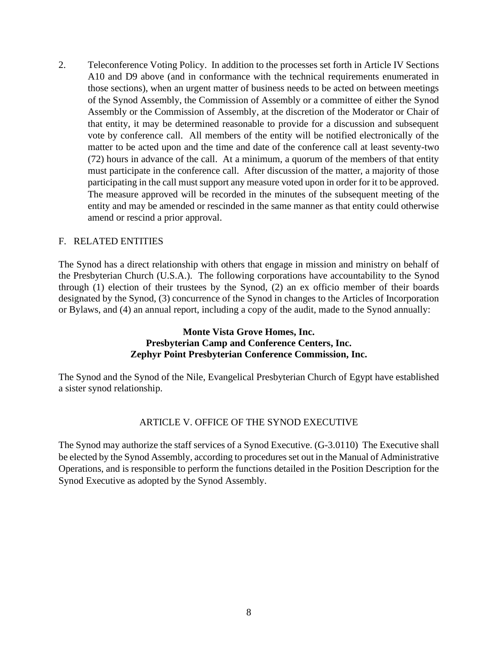2. Teleconference Voting Policy. In addition to the processes set forth in Article IV Sections A10 and D9 above (and in conformance with the technical requirements enumerated in those sections), when an urgent matter of business needs to be acted on between meetings of the Synod Assembly, the Commission of Assembly or a committee of either the Synod Assembly or the Commission of Assembly, at the discretion of the Moderator or Chair of that entity, it may be determined reasonable to provide for a discussion and subsequent vote by conference call. All members of the entity will be notified electronically of the matter to be acted upon and the time and date of the conference call at least seventy-two (72) hours in advance of the call. At a minimum, a quorum of the members of that entity must participate in the conference call. After discussion of the matter, a majority of those participating in the call must support any measure voted upon in order for it to be approved. The measure approved will be recorded in the minutes of the subsequent meeting of the entity and may be amended or rescinded in the same manner as that entity could otherwise amend or rescind a prior approval.

### F. RELATED ENTITIES

The Synod has a direct relationship with others that engage in mission and ministry on behalf of the Presbyterian Church (U.S.A.). The following corporations have accountability to the Synod through (1) election of their trustees by the Synod, (2) an ex officio member of their boards designated by the Synod, (3) concurrence of the Synod in changes to the Articles of Incorporation or Bylaws, and (4) an annual report, including a copy of the audit, made to the Synod annually:

### **Monte Vista Grove Homes, Inc. Presbyterian Camp and Conference Centers, Inc. Zephyr Point Presbyterian Conference Commission, Inc.**

The Synod and the Synod of the Nile, Evangelical Presbyterian Church of Egypt have established a sister synod relationship.

#### ARTICLE V. OFFICE OF THE SYNOD EXECUTIVE

The Synod may authorize the staff services of a Synod Executive. (G-3.0110) The Executive shall be elected by the Synod Assembly, according to procedures set out in the Manual of Administrative Operations, and is responsible to perform the functions detailed in the Position Description for the Synod Executive as adopted by the Synod Assembly.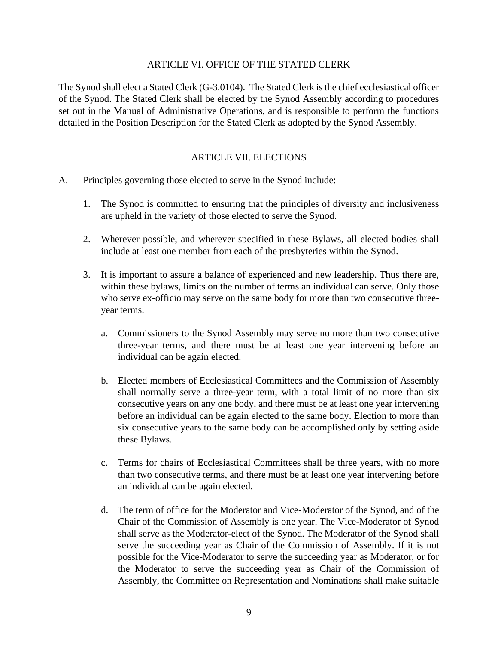#### ARTICLE VI. OFFICE OF THE STATED CLERK

The Synod shall elect a Stated Clerk (G-3.0104). The Stated Clerk is the chief ecclesiastical officer of the Synod. The Stated Clerk shall be elected by the Synod Assembly according to procedures set out in the Manual of Administrative Operations, and is responsible to perform the functions detailed in the Position Description for the Stated Clerk as adopted by the Synod Assembly.

### ARTICLE VII. ELECTIONS

- A. Principles governing those elected to serve in the Synod include:
	- 1. The Synod is committed to ensuring that the principles of diversity and inclusiveness are upheld in the variety of those elected to serve the Synod.
	- 2. Wherever possible, and wherever specified in these Bylaws, all elected bodies shall include at least one member from each of the presbyteries within the Synod.
	- 3. It is important to assure a balance of experienced and new leadership. Thus there are, within these bylaws, limits on the number of terms an individual can serve. Only those who serve ex-officio may serve on the same body for more than two consecutive threeyear terms.
		- a. Commissioners to the Synod Assembly may serve no more than two consecutive three-year terms, and there must be at least one year intervening before an individual can be again elected.
		- b. Elected members of Ecclesiastical Committees and the Commission of Assembly shall normally serve a three-year term, with a total limit of no more than six consecutive years on any one body, and there must be at least one year intervening before an individual can be again elected to the same body. Election to more than six consecutive years to the same body can be accomplished only by setting aside these Bylaws.
		- c. Terms for chairs of Ecclesiastical Committees shall be three years, with no more than two consecutive terms, and there must be at least one year intervening before an individual can be again elected.
		- d. The term of office for the Moderator and Vice-Moderator of the Synod, and of the Chair of the Commission of Assembly is one year. The Vice-Moderator of Synod shall serve as the Moderator-elect of the Synod. The Moderator of the Synod shall serve the succeeding year as Chair of the Commission of Assembly. If it is not possible for the Vice-Moderator to serve the succeeding year as Moderator, or for the Moderator to serve the succeeding year as Chair of the Commission of Assembly, the Committee on Representation and Nominations shall make suitable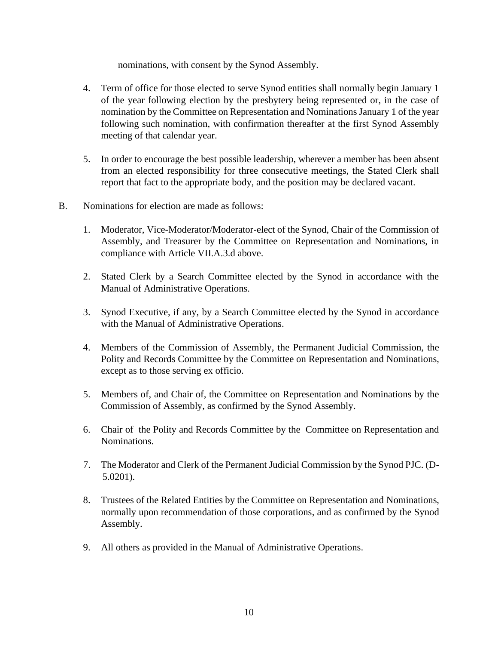nominations, with consent by the Synod Assembly.

- 4. Term of office for those elected to serve Synod entities shall normally begin January 1 of the year following election by the presbytery being represented or, in the case of nomination by the Committee on Representation and Nominations January 1 of the year following such nomination, with confirmation thereafter at the first Synod Assembly meeting of that calendar year.
- 5. In order to encourage the best possible leadership, wherever a member has been absent from an elected responsibility for three consecutive meetings, the Stated Clerk shall report that fact to the appropriate body, and the position may be declared vacant.
- B. Nominations for election are made as follows:
	- 1. Moderator, Vice-Moderator/Moderator-elect of the Synod, Chair of the Commission of Assembly, and Treasurer by the Committee on Representation and Nominations, in compliance with Article VII.A.3.d above.
	- 2. Stated Clerk by a Search Committee elected by the Synod in accordance with the Manual of Administrative Operations.
	- 3. Synod Executive, if any, by a Search Committee elected by the Synod in accordance with the Manual of Administrative Operations.
	- 4. Members of the Commission of Assembly, the Permanent Judicial Commission, the Polity and Records Committee by the Committee on Representation and Nominations, except as to those serving ex officio.
	- 5. Members of, and Chair of, the Committee on Representation and Nominations by the Commission of Assembly, as confirmed by the Synod Assembly.
	- 6. Chair of the Polity and Records Committee by the Committee on Representation and Nominations.
	- 7. The Moderator and Clerk of the Permanent Judicial Commission by the Synod PJC. (D-5.0201).
	- 8. Trustees of the Related Entities by the Committee on Representation and Nominations, normally upon recommendation of those corporations, and as confirmed by the Synod Assembly.
	- 9. All others as provided in the Manual of Administrative Operations.